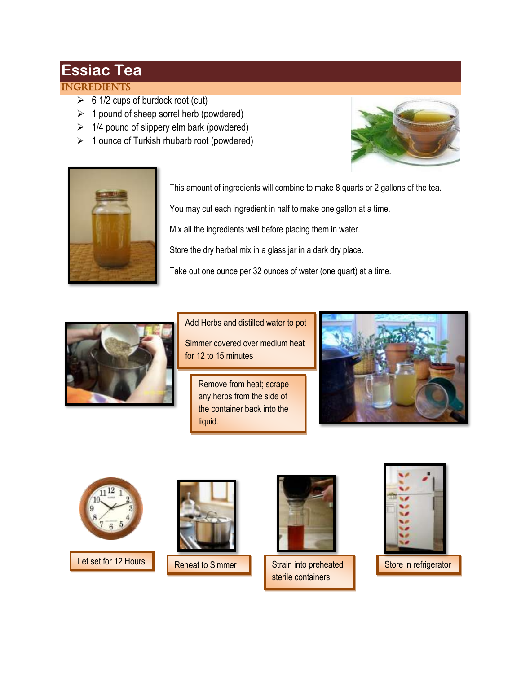## **Essiac Tea**

## **INGREDIENTS**

- $\geq 6$  1/2 cups of burdock root (cut)
- $\geq 1$  pound of sheep sorrel herb (powdered)
- $\geq$  1/4 pound of slippery elm bark (powdered)
- $\geq 1$  ounce of Turkish rhubarb root (powdered)





This amount of ingredients will combine to make 8 quarts or 2 gallons of the tea.

You may cut each ingredient in half to make one gallon at a time.

Mix all the ingredients well before placing them in water.

Store the dry herbal mix in a glass jar in a dark dry place.

Take out one ounce per 32 ounces of water (one quart) at a time.



Add Herbs and distilled water to pot

Simmer covered over medium heat for 12 to 15 minutes

Remove from heat; scrape any herbs from the side of the container back into the liquid.







Reheat to Simmer



Let set for 12 Hours Reheat to Simmer Strain into preheated Store in refrigerator Strain into preheated sterile containers



until used and design the control of the control of the control of the control of the control of the control of the control of the control of the control of the control of the control of the control of the control of the c